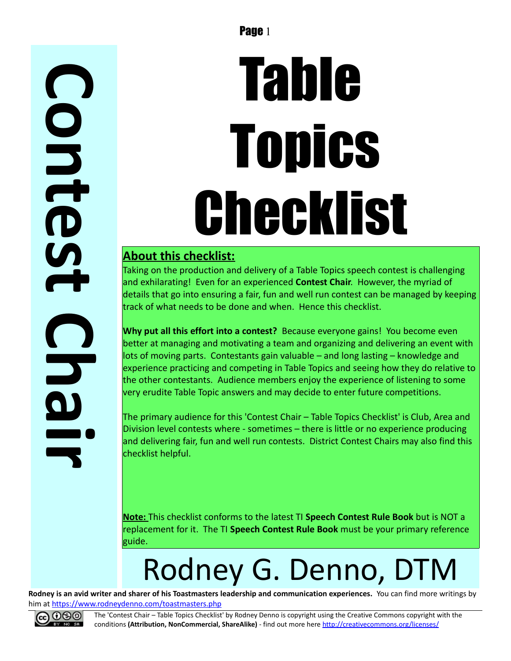# Table **Topics** Checklist

#### **About this checklist:**

Taking on the production and delivery of a Table Topics speech contest is challenging and exhilarating! Even for an experienced **Contest Chair**. However, the myriad of details that go into ensuring a fair, fun and well run contest can be managed by keeping track of what needs to be done and when. Hence this checklist.

**Why put all this effort into a contest?** Because everyone gains! You become even better at managing and motivating a team and organizing and delivering an event with lots of moving parts. Contestants gain valuable – and long lasting – knowledge and experience practicing and competing in Table Topics and seeing how they do relative to the other contestants. Audience members enjoy the experience of listening to some very erudite Table Topic answers and may decide to enter future competitions.

The primary audience for this 'Contest Chair – Table Topics Checklist' is Club, Area and Division level contests where - sometimes – there is little or no experience producing and delivering fair, fun and well run contests. District Contest Chairs may also find this checklist helpful.

**Note:** This checklist conforms to the latest TI **Speech Contest Rule Book** but is NOT a replacement for it. The TI **Speech Contest Rule Book** must be your primary reference guide.

## Rodney G. Denno, DTM

**Rodney is an avid writer and sharer of his Toastmasters leadership and communication experiences.** You can find more writings by him at<https://www.rodneydenno.com/toastmasters.php>



**C**

**o**

**n**

**t**

**e**

**s**

**t**

**C**

**h**

**a**

**r**

**i**

The 'Contest Chair – Table Topics Checklist' by Rodney Denno is copyright using the Creative Commons copyright with the conditions **(Attribution, NonCommercial, ShareAlike)** - find out more here<http://creativecommons.org/licenses/>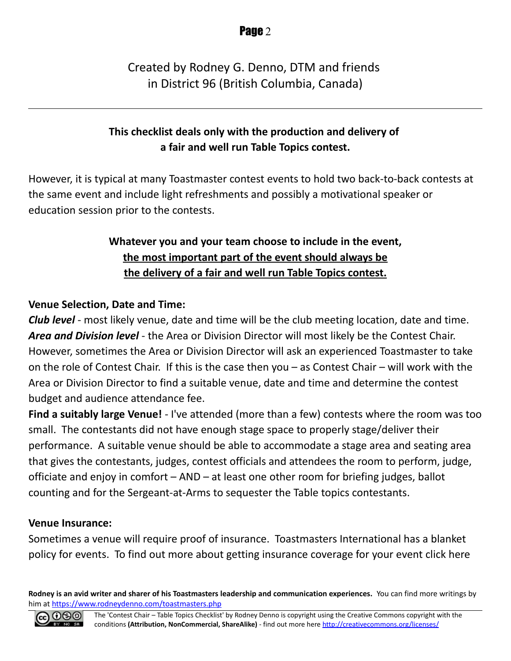#### Created by Rodney G. Denno, DTM and friends in District 96 (British Columbia, Canada)

#### **This checklist deals only with the production and delivery of a fair and well run Table Topics contest.**

However, it is typical at many Toastmaster contest events to hold two back-to-back contests at the same event and include light refreshments and possibly a motivational speaker or education session prior to the contests.

#### **Whatever you and your team choose to include in the event, the most important part of the event should always be the delivery of a fair and well run Table Topics contest.**

#### **Venue Selection, Date and Time:**

*Club level* - most likely venue, date and time will be the club meeting location, date and time. *Area and Division level* - the Area or Division Director will most likely be the Contest Chair. However, sometimes the Area or Division Director will ask an experienced Toastmaster to take on the role of Contest Chair. If this is the case then you – as Contest Chair – will work with the Area or Division Director to find a suitable venue, date and time and determine the contest budget and audience attendance fee.

**Find a suitably large Venue!** - I've attended (more than a few) contests where the room was too small. The contestants did not have enough stage space to properly stage/deliver their performance. A suitable venue should be able to accommodate a stage area and seating area that gives the contestants, judges, contest officials and attendees the room to perform, judge, officiate and enjoy in comfort – AND – at least one other room for briefing judges, ballot counting and for the Sergeant-at-Arms to sequester the Table topics contestants.

#### **Venue Insurance:**

Sometimes a venue will require proof of insurance. Toastmasters International has a blanket policy for events. To find out more about getting insurance coverage for your event click here

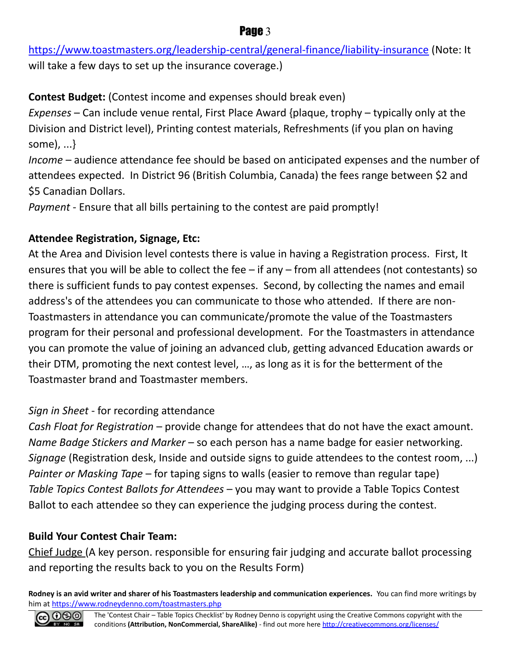<https://www.toastmasters.org/leadership-central/general-finance/liability-insurance>(Note: It will take a few days to set up the insurance coverage.)

**Contest Budget:** (Contest income and expenses should break even)

*Expenses* – Can include venue rental, First Place Award {plaque, trophy – typically only at the Division and District level), Printing contest materials, Refreshments (if you plan on having some), ...}

*Income* – audience attendance fee should be based on anticipated expenses and the number of attendees expected. In District 96 (British Columbia, Canada) the fees range between \$2 and \$5 Canadian Dollars.

*Payment* - Ensure that all bills pertaining to the contest are paid promptly!

#### **Attendee Registration, Signage, Etc:**

At the Area and Division level contests there is value in having a Registration process. First, It ensures that you will be able to collect the fee – if any – from all attendees (not contestants) so there is sufficient funds to pay contest expenses. Second, by collecting the names and email address's of the attendees you can communicate to those who attended. If there are non-Toastmasters in attendance you can communicate/promote the value of the Toastmasters program for their personal and professional development. For the Toastmasters in attendance you can promote the value of joining an advanced club, getting advanced Education awards or their DTM, promoting the next contest level, …, as long as it is for the betterment of the Toastmaster brand and Toastmaster members.

#### *Sign in Sheet* - for recording attendance

*Cash Float for Registration* – provide change for attendees that do not have the exact amount. *Name Badge Stickers and Marker* – so each person has a name badge for easier networking. *Signage* (Registration desk, Inside and outside signs to guide attendees to the contest room, ...) *Painter or Masking Tape* – for taping signs to walls (easier to remove than regular tape) *Table Topics Contest Ballots for Attendees* – you may want to provide a Table Topics Contest Ballot to each attendee so they can experience the judging process during the contest.

#### **Build Your Contest Chair Team:**

Chief Judge (A key person. responsible for ensuring fair judging and accurate ballot processing and reporting the results back to you on the Results Form)

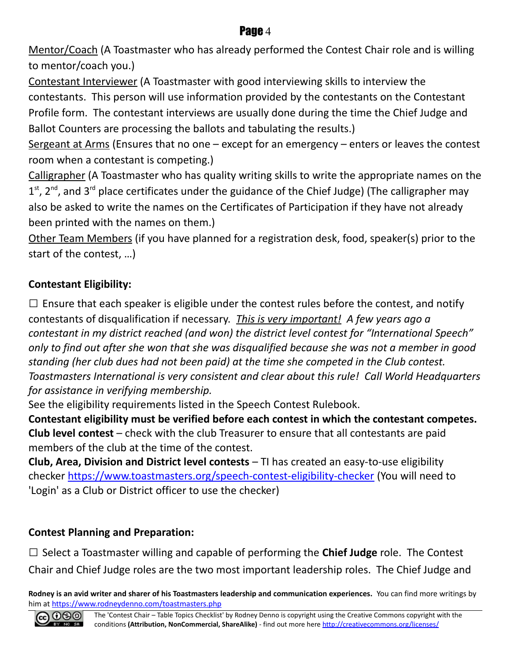Mentor/Coach (A Toastmaster who has already performed the Contest Chair role and is willing to mentor/coach you.)

Contestant Interviewer (A Toastmaster with good interviewing skills to interview the contestants. This person will use information provided by the contestants on the Contestant Profile form. The contestant interviews are usually done during the time the Chief Judge and Ballot Counters are processing the ballots and tabulating the results.)

Sergeant at Arms (Ensures that no one  $-$  except for an emergency  $-$  enters or leaves the contest room when a contestant is competing.)

Calligrapher (A Toastmaster who has quality writing skills to write the appropriate names on the  $1<sup>st</sup>$ , 2<sup>nd</sup>, and 3<sup>rd</sup> place certificates under the guidance of the Chief Judge) (The calligrapher may also be asked to write the names on the Certificates of Participation if they have not already been printed with the names on them.)

Other Team Members (if you have planned for a registration desk, food, speaker(s) prior to the start of the contest, …)

#### **Contestant Eligibility:**

 $\Box$  Ensure that each speaker is eligible under the contest rules before the contest, and notify contestants of disqualification if necessary. *This is very important! A few years ago a contestant in my district reached (and won) the district level contest for "International Speech" only to find out after she won that she was disqualified because she was not a member in good standing (her club dues had not been paid) at the time she competed in the Club contest. Toastmasters International is very consistent and clear about this rule! Call World Headquarters for assistance in verifying membership.*

See the eligibility requirements listed in the Speech Contest Rulebook.

**Contestant eligibility must be verified before each contest in which the contestant competes. Club level contest** – check with the club Treasurer to ensure that all contestants are paid members of the club at the time of the contest.

**Club, Area, Division and District level contests** – TI has created an easy-to-use eligibility checker<https://www.toastmasters.org/speech-contest-eligibility-checker>(You will need to 'Login' as a Club or District officer to use the checker)

#### **Contest Planning and Preparation:**

□ Select a Toastmaster willing and capable of performing the **Chief Judge** role. The Contest Chair and Chief Judge roles are the two most important leadership roles. The Chief Judge and

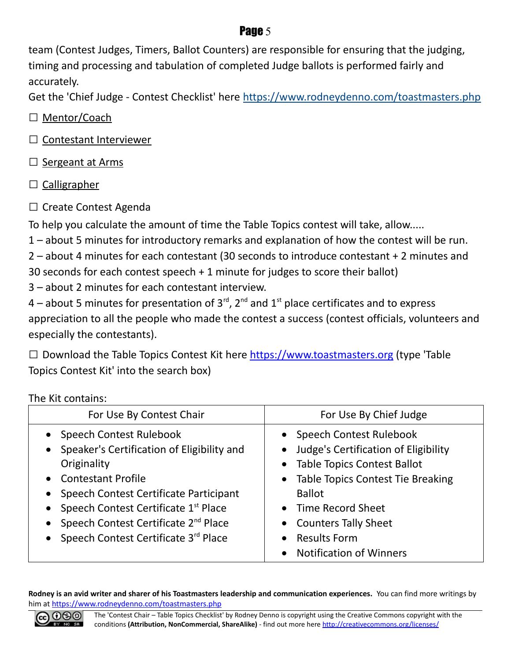team (Contest Judges, Timers, Ballot Counters) are responsible for ensuring that the judging, timing and processing and tabulation of completed Judge ballots is performed fairly and accurately.

Get the 'Chief Judge - Contest Checklist' here<https://www.rodneydenno.com/toastmasters.php>

□ Mentor/Coach

- □ Contestant Interviewer
- $\Box$  Sergeant at Arms
- $\square$  Calligrapher
- □ Create Contest Agenda

To help you calculate the amount of time the Table Topics contest will take, allow.....

1 – about 5 minutes for introductory remarks and explanation of how the contest will be run.

2 – about 4 minutes for each contestant (30 seconds to introduce contestant + 2 minutes and

30 seconds for each contest speech + 1 minute for judges to score their ballot)

3 – about 2 minutes for each contestant interview.

4 – about 5 minutes for presentation of  $3^{\text{rd}}$ ,  $2^{\text{nd}}$  and  $1^{\text{st}}$  place certificates and to express appreciation to all the people who made the contest a success (contest officials, volunteers and especially the contestants).

 $\square$  Download the Table Topics Contest Kit here [https://www.toastmasters.org](https://www.toastmasters.org/) (type 'Table Topics Contest Kit' into the search box)

The Kit contains:

| For Use By Contest Chair                                                                                                                                                                                                                                                                                                                                                 | For Use By Chief Judge                                                                                                                                                                                                                            |
|--------------------------------------------------------------------------------------------------------------------------------------------------------------------------------------------------------------------------------------------------------------------------------------------------------------------------------------------------------------------------|---------------------------------------------------------------------------------------------------------------------------------------------------------------------------------------------------------------------------------------------------|
| Speech Contest Rulebook<br>$\bullet$<br>Speaker's Certification of Eligibility and<br>$\bullet$<br>Originality<br>• Contestant Profile<br>Speech Contest Certificate Participant<br>$\bullet$<br>Speech Contest Certificate 1st Place<br>$\bullet$<br>Speech Contest Certificate 2 <sup>nd</sup> Place<br>$\bullet$<br>Speech Contest Certificate 3rd Place<br>$\bullet$ | • Speech Contest Rulebook<br>• Judge's Certification of Eligibility<br>• Table Topics Contest Ballot<br>• Table Topics Contest Tie Breaking<br><b>Ballot</b><br>• Time Record Sheet<br>• Counters Tally Sheet<br><b>Results Form</b><br>$\bullet$ |
|                                                                                                                                                                                                                                                                                                                                                                          | <b>Notification of Winners</b>                                                                                                                                                                                                                    |

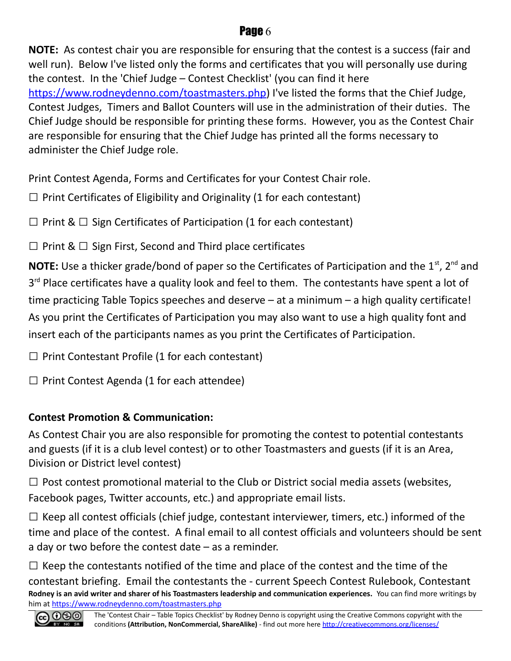**NOTE:** As contest chair you are responsible for ensuring that the contest is a success (fair and well run). Below I've listed only the forms and certificates that you will personally use during the contest. In the 'Chief Judge – Contest Checklist' (you can find it here [https://www.rodneydenno.com/toastmasters.php\)](https://www.rodneydenno.com/toastmasters.php) I've listed the forms that the Chief Judge, Contest Judges, Timers and Ballot Counters will use in the administration of their duties. The Chief Judge should be responsible for printing these forms. However, you as the Contest Chair are responsible for ensuring that the Chief Judge has printed all the forms necessary to administer the Chief Judge role.

Print Contest Agenda, Forms and Certificates for your Contest Chair role.

 $\Box$  Print Certificates of Eligibility and Originality (1 for each contestant)

 $\Box$  Print &  $\Box$  Sign Certificates of Participation (1 for each contestant)

 $\Box$  Print &  $\Box$  Sign First, Second and Third place certificates

**NOTE:** Use a thicker grade/bond of paper so the Certificates of Participation and the 1<sup>st</sup>, 2<sup>nd</sup> and 3<sup>rd</sup> Place certificates have a quality look and feel to them. The contestants have spent a lot of time practicing Table Topics speeches and deserve – at a minimum – a high quality certificate! As you print the Certificates of Participation you may also want to use a high quality font and insert each of the participants names as you print the Certificates of Participation.

 $\Box$  Print Contestant Profile (1 for each contestant)

 $\Box$  Print Contest Agenda (1 for each attendee)

#### **Contest Promotion & Communication:**

As Contest Chair you are also responsible for promoting the contest to potential contestants and guests (if it is a club level contest) or to other Toastmasters and guests (if it is an Area, Division or District level contest)

 $\Box$  Post contest promotional material to the Club or District social media assets (websites, Facebook pages, Twitter accounts, etc.) and appropriate email lists.

 $\Box$  Keep all contest officials (chief judge, contestant interviewer, timers, etc.) informed of the time and place of the contest. A final email to all contest officials and volunteers should be sent a day or two before the contest date – as a reminder.

 $\square$  Keep the contestants notified of the time and place of the contest and the time of the contestant briefing. Email the contestants the - current Speech Contest Rulebook, Contestant **Rodney is an avid writer and sharer of his Toastmasters leadership and communication experiences.** You can find more writings by him at<https://www.rodneydenno.com/toastmasters.php>

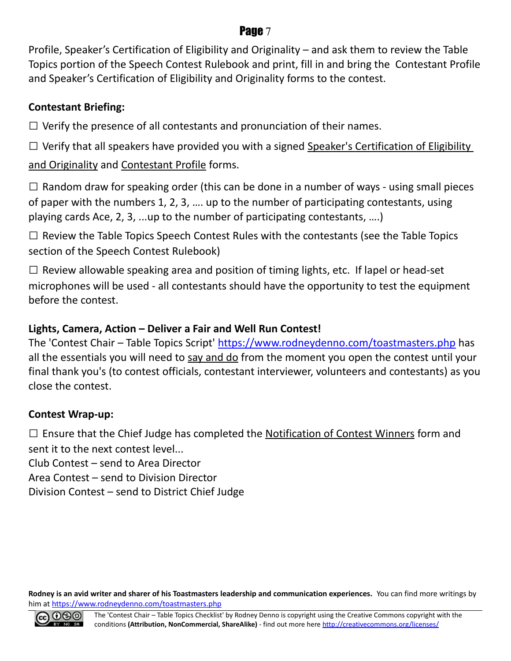Profile, Speaker's Certification of Eligibility and Originality – and ask them to review the Table Topics portion of the Speech Contest Rulebook and print, fill in and bring the Contestant Profile and Speaker's Certification of Eligibility and Originality forms to the contest.

#### **Contestant Briefing:**

 $\Box$  Verify the presence of all contestants and pronunciation of their names.

 $\Box$  Verify that all speakers have provided you with a signed Speaker's Certification of Eligibility and Originality and Contestant Profile forms.

 $\square$  Random draw for speaking order (this can be done in a number of ways - using small pieces of paper with the numbers 1, 2, 3, …. up to the number of participating contestants, using playing cards Ace, 2, 3, ...up to the number of participating contestants, ….)

 $\square$  Review the Table Topics Speech Contest Rules with the contestants (see the Table Topics section of the Speech Contest Rulebook)

 $\square$  Review allowable speaking area and position of timing lights, etc. If lapel or head-set microphones will be used - all contestants should have the opportunity to test the equipment before the contest.

#### **Lights, Camera, Action – Deliver a Fair and Well Run Contest!**

The 'Contest Chair – Table Topics Script'<https://www.rodneydenno.com/toastmasters.php>has all the essentials you will need to say and do from the moment you open the contest until your final thank you's (to contest officials, contestant interviewer, volunteers and contestants) as you close the contest.

#### **Contest Wrap-up:**

 $\square$  Ensure that the Chief Judge has completed the Notification of Contest Winners form and sent it to the next contest level...

Club Contest – send to Area Director

Area Contest – send to Division Director

Division Contest – send to District Chief Judge